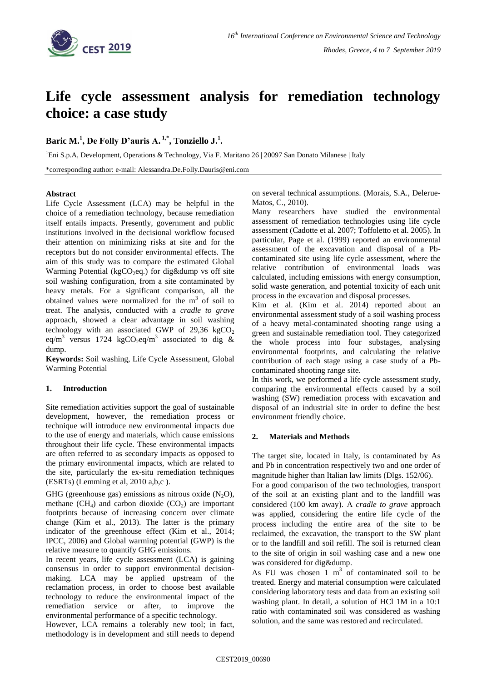

# **Life cycle assessment analysis for remediation technology choice: a case study**

## **Baric M.<sup>1</sup> , De Folly D'auris A. 1,\* , Tonziello J.<sup>1</sup> .**

<sup>1</sup>Eni S.p.A, Development, Operations & Technology, Via F. Maritano 26 | 20097 San Donato Milanese | Italy

\*corresponding author: e-mail: Alessandra.De.Folly.Dauris@eni.com

#### **Abstract**

Life Cycle Assessment (LCA) may be helpful in the choice of a remediation technology, because remediation itself entails impacts. Presently, government and public institutions involved in the decisional workflow focused their attention on minimizing risks at site and for the receptors but do not consider environmental effects. The aim of this study was to compare the estimated Global Warming Potential (kgCO<sub>2</sub>eq.) for dig&dump vs off site soil washing configuration, from a site contaminated by heavy metals. For a significant comparison, all the obtained values were normalized for the  $m<sup>3</sup>$  of soil to treat. The analysis, conducted with a *cradle to grave* approach, showed a clear advantage in soil washing technology with an associated GWP of  $29,36 \text{ kgCO}_2$ eq/m<sup>3</sup> versus 1724 kgCO<sub>2</sub>eq/m<sup>3</sup> associated to dig & dump.

**Keywords:** Soil washing, Life Cycle Assessment, Global Warming Potential

## **1. Introduction**

Site remediation activities support the goal of sustainable development, however, the remediation process or technique will introduce new environmental impacts due to the use of energy and materials, which cause emissions throughout their life cycle. These environmental impacts are often referred to as secondary impacts as opposed to the primary environmental impacts, which are related to the site, particularly the ex-situ remediation techniques (ESRTs) (Lemming et al, 2010 a,b,c ).

GHG (greenhouse gas) emissions as nitrous oxide  $(N_2O)$ , methane  $(CH_4)$  and carbon dioxide  $(CO_2)$  are important footprints because of increasing concern over climate change (Kim et al., 2013). The latter is the primary indicator of the greenhouse effect (Kim et al., 2014; IPCC, 2006) and Global warming potential (GWP) is the relative measure to quantify GHG emissions.

In recent years, life cycle assessment (LCA) is gaining consensus in order to support environmental decisionmaking. LCA may be applied upstream of the reclamation process, in order to choose best available technology to reduce the environmental impact of the remediation service or after, to improve the environmental performance of a specific technology.

However, LCA remains a tolerably new tool; in fact, methodology is in development and still needs to depend on several technical assumptions. (Morais, S.A., Delerue-Matos, C., 2010).

Many researchers have studied the environmental assessment of remediation technologies using life cycle assessment (Cadotte et al. 2007; Toffoletto et al. 2005). In particular, Page et al. (1999) reported an environmental assessment of the excavation and disposal of a Pbcontaminated site using life cycle assessment, where the relative contribution of environmental loads was calculated, including emissions with energy consumption, solid waste generation, and potential toxicity of each unit process in the excavation and disposal processes.

Kim et al. (Kim et al. 2014) reported about an environmental assessment study of a soil washing process of a heavy metal-contaminated shooting range using a green and sustainable remediation tool. They categorized the whole process into four substages, analysing environmental footprints, and calculating the relative contribution of each stage using a case study of a Pbcontaminated shooting range site.

In this work, we performed a life cycle assessment study, comparing the environmental effects caused by a soil washing (SW) remediation process with excavation and disposal of an industrial site in order to define the best environment friendly choice.

## **2. Materials and Methods**

The target site, located in Italy, is contaminated by As and Pb in concentration respectively two and one order of magnitude higher than Italian law limits (Dlgs. 152/06).

For a good comparison of the two technologies, transport of the soil at an existing plant and to the landfill was considered (100 km away). A *cradle to grave* approach was applied, considering the entire life cycle of the process including the entire area of the site to be reclaimed, the excavation, the transport to the SW plant or to the landfill and soil refill. The soil is returned clean to the site of origin in soil washing case and a new one was considered for dig&dump.

As FU was chosen  $1 \text{ m}^3$  of contaminated soil to be treated. Energy and material consumption were calculated considering laboratory tests and data from an existing soil washing plant. In detail, a solution of HCl 1M in a 10:1 ratio with contaminated soil was considered as washing solution, and the same was restored and recirculated.